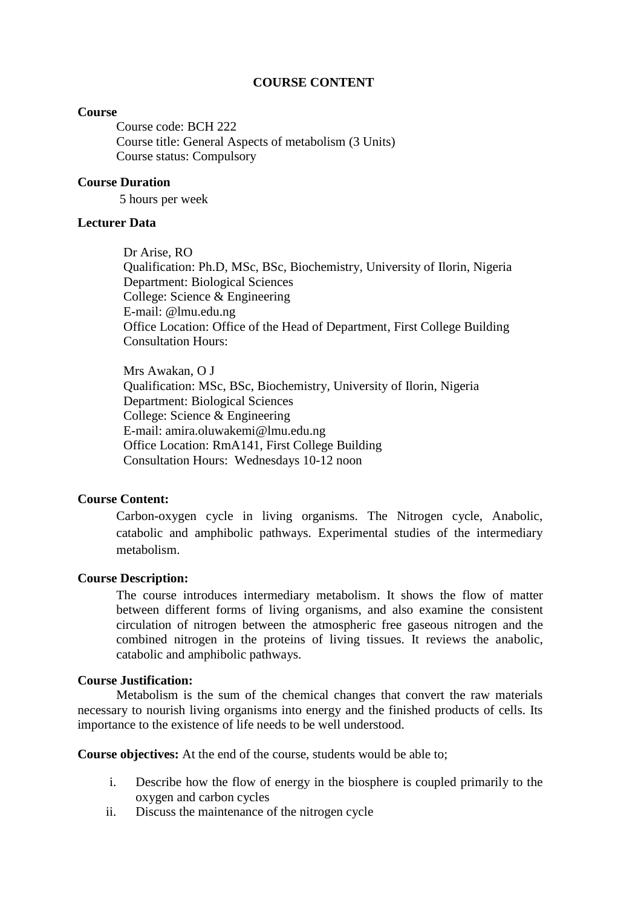### **COURSE CONTENT**

### **Course**

Course code: BCH 222 Course title: General Aspects of metabolism (3 Units) Course status: Compulsory

## **Course Duration**

5 hours per week

## **Lecturer Data**

Dr Arise, RO Qualification: Ph.D, MSc, BSc, Biochemistry, University of Ilorin, Nigeria Department: Biological Sciences College: Science & Engineering E-mail: @lmu.edu.ng Office Location: Office of the Head of Department, First College Building Consultation Hours:

Mrs Awakan, O J Qualification: MSc, BSc, Biochemistry, University of Ilorin, Nigeria Department: Biological Sciences College: Science & Engineering E-mail: amira.oluwakemi@lmu.edu.ng Office Location: RmA141, First College Building Consultation Hours: Wednesdays 10-12 noon

## **Course Content:**

Carbon-oxygen cycle in living organisms. The Nitrogen cycle, Anabolic, catabolic and amphibolic pathways. Experimental studies of the intermediary metabolism.

#### **Course Description:**

The course introduces intermediary metabolism. It shows the flow of matter between different forms of living organisms, and also examine the consistent circulation of nitrogen between the atmospheric free gaseous nitrogen and the combined nitrogen in the proteins of living tissues. It reviews the anabolic, catabolic and amphibolic pathways.

### **Course Justification:**

Metabolism is the sum of the chemical changes that convert the raw materials necessary to nourish living organisms into energy and the finished products of cells. Its importance to the existence of life needs to be well understood.

**Course objectives:** At the end of the course, students would be able to;

- i. Describe how the flow of energy in the biosphere is coupled primarily to the oxygen and carbon cycles
- ii. Discuss the maintenance of the nitrogen cycle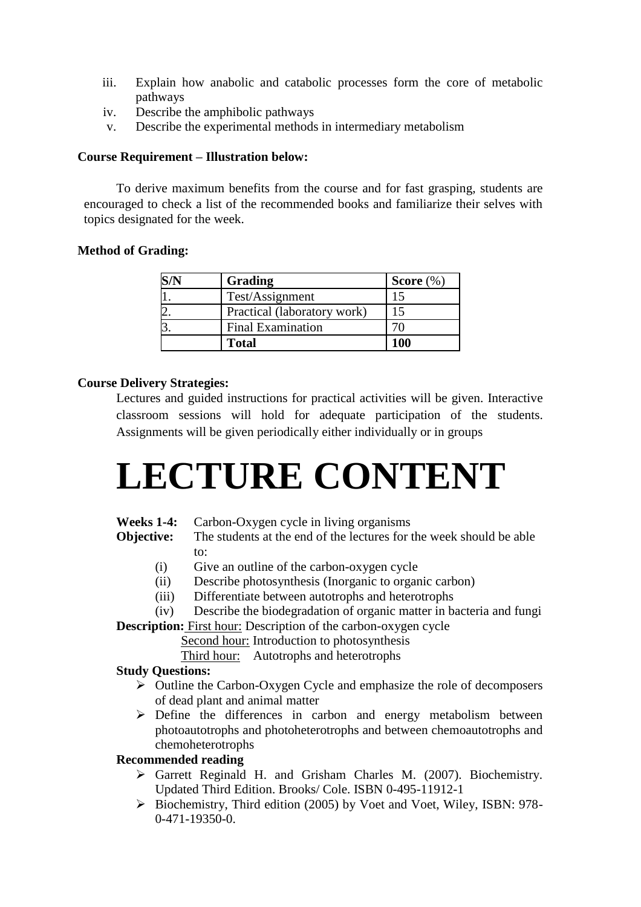- iii. Explain how anabolic and catabolic processes form the core of metabolic pathways
- iv. Describe the amphibolic pathways
- v. Describe the experimental methods in intermediary metabolism

## **Course Requirement – Illustration below:**

To derive maximum benefits from the course and for fast grasping, students are encouraged to check a list of the recommended books and familiarize their selves with topics designated for the week.

## **Method of Grading:**

| Grading                     | Score $(\%)$ |
|-----------------------------|--------------|
| Test/Assignment             |              |
| Practical (laboratory work) |              |
| <b>Final Examination</b>    |              |
| <b>Total</b>                | 100          |

## **Course Delivery Strategies:**

Lectures and guided instructions for practical activities will be given. Interactive classroom sessions will hold for adequate participation of the students. Assignments will be given periodically either individually or in groups

# **LECTURE CONTENT**

## **Weeks 1-4:** Carbon-Oxygen cycle in living organisms

**Objective:** The students at the end of the lectures for the week should be able to:

- (i) Give an outline of the carbon-oxygen cycle
- (ii) Describe photosynthesis (Inorganic to organic carbon)
- (iii) Differentiate between autotrophs and heterotrophs
- (iv) Describe the biodegradation of organic matter in bacteria and fungi

**Description:** First hour: Description of the carbon-oxygen cycle

Second hour: Introduction to photosynthesis

Third hour: Autotrophs and heterotrophs

## **Study Questions:**

- $\triangleright$  Outline the Carbon-Oxygen Cycle and emphasize the role of decomposers of dead plant and animal matter
- $\triangleright$  Define the differences in carbon and energy metabolism between photoautotrophs and photoheterotrophs and between chemoautotrophs and chemoheterotrophs

# **Recommended reading**

- Garrett Reginald H. and Grisham Charles M. (2007). Biochemistry. Updated Third Edition. Brooks/ Cole. ISBN 0-495-11912-1
- Biochemistry, Third edition (2005) by Voet and Voet, Wiley, ISBN: 978- 0-471-19350-0.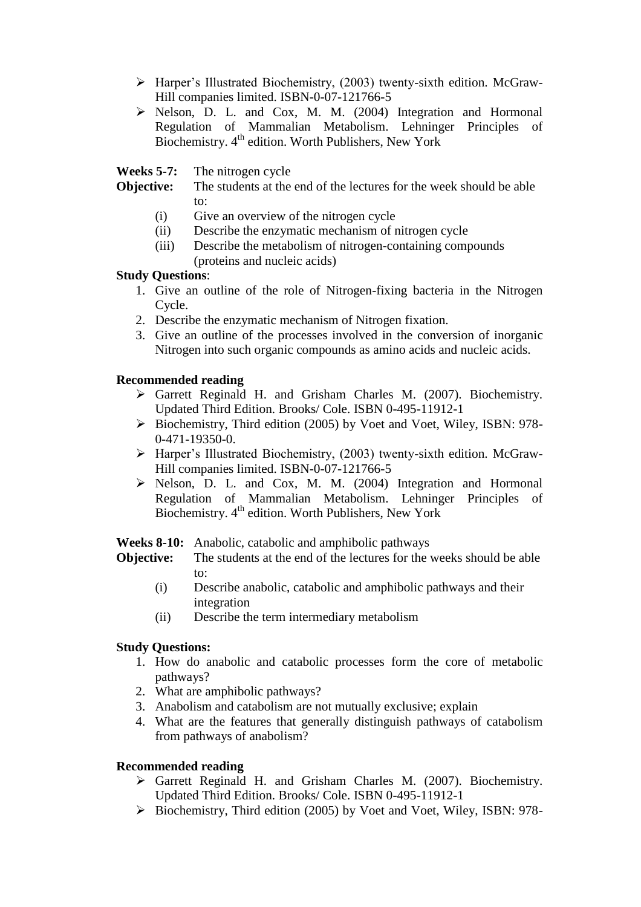- Harper's Illustrated Biochemistry, (2003) twenty-sixth edition. McGraw-Hill companies limited. ISBN-0-07-121766-5
- $\triangleright$  Nelson, D. L. and Cox, M. M. (2004) Integration and Hormonal Regulation of Mammalian Metabolism. Lehninger Principles of Biochemistry. 4<sup>th</sup> edition. Worth Publishers, New York

**Weeks 5-7:** The nitrogen cycle

- **Objective:** The students at the end of the lectures for the week should be able to:
	- (i) Give an overview of the nitrogen cycle
	- (ii) Describe the enzymatic mechanism of nitrogen cycle
	- (iii) Describe the metabolism of nitrogen-containing compounds (proteins and nucleic acids)

## **Study Questions**:

- 1. Give an outline of the role of Nitrogen-fixing bacteria in the Nitrogen Cycle.
- 2. Describe the enzymatic mechanism of Nitrogen fixation.
- 3. Give an outline of the processes involved in the conversion of inorganic Nitrogen into such organic compounds as amino acids and nucleic acids.

## **Recommended reading**

- Garrett Reginald H. and Grisham Charles M. (2007). Biochemistry. Updated Third Edition. Brooks/ Cole. ISBN 0-495-11912-1
- Biochemistry, Third edition (2005) by Voet and Voet, Wiley, ISBN: 978- 0-471-19350-0.
- Harper's Illustrated Biochemistry, (2003) twenty-sixth edition. McGraw-Hill companies limited. ISBN-0-07-121766-5
- $\triangleright$  Nelson, D. L. and Cox, M. M. (2004) Integration and Hormonal Regulation of Mammalian Metabolism. Lehninger Principles of Biochemistry.  $4<sup>th</sup>$  edition. Worth Publishers, New York

**Weeks 8-10:** Anabolic, catabolic and amphibolic pathways

- **Objective:** The students at the end of the lectures for the weeks should be able to:
	- (i) Describe anabolic, catabolic and amphibolic pathways and their integration
	- (ii) Describe the term intermediary metabolism

# **Study Questions:**

- 1. How do anabolic and catabolic processes form the core of metabolic pathways?
- 2. What are amphibolic pathways?
- 3. Anabolism and catabolism are not mutually exclusive; explain
- 4. What are the features that generally distinguish pathways of catabolism from pathways of anabolism?

# **Recommended reading**

- Garrett Reginald H. and Grisham Charles M. (2007). Biochemistry. Updated Third Edition. Brooks/ Cole. ISBN 0-495-11912-1
- $\triangleright$  Biochemistry, Third edition (2005) by Voet and Voet, Wiley, ISBN: 978-